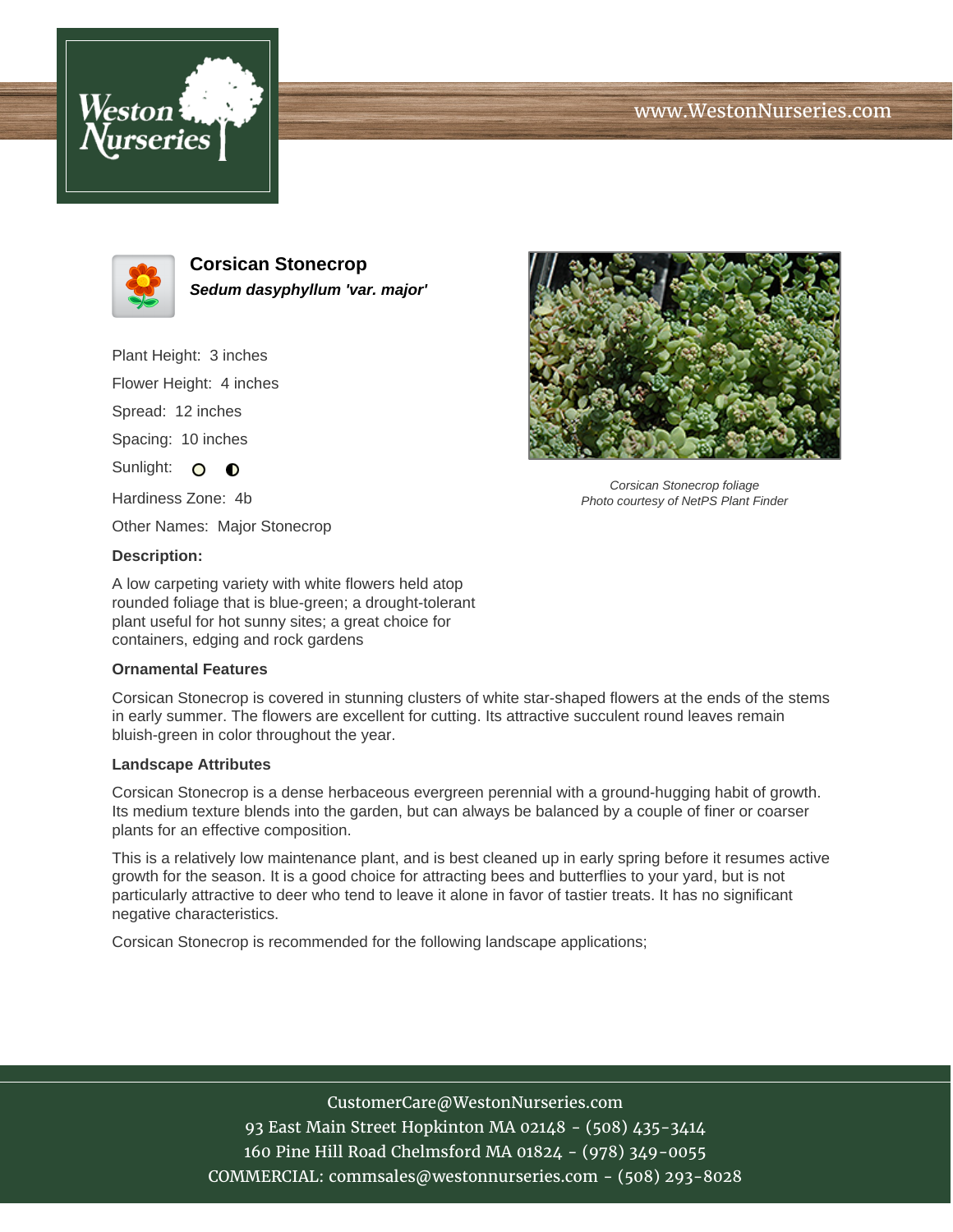# www.WestonNurseries.com





**Corsican Stonecrop Sedum dasyphyllum 'var. major'**

Plant Height: 3 inches Flower Height: 4 inches Spread: 12 inches Spacing: 10 inches Sunlight: O **O** Hardiness Zone: 4b

Other Names: Major Stonecrop

# **Description:**

A low carpeting variety with white flowers held atop rounded foliage that is blue-green; a drought-tolerant plant useful for hot sunny sites; a great choice for containers, edging and rock gardens

### **Ornamental Features**

Corsican Stonecrop is covered in stunning clusters of white star-shaped flowers at the ends of the stems in early summer. The flowers are excellent for cutting. Its attractive succulent round leaves remain bluish-green in color throughout the year.

#### **Landscape Attributes**

Corsican Stonecrop is a dense herbaceous evergreen perennial with a ground-hugging habit of growth. Its medium texture blends into the garden, but can always be balanced by a couple of finer or coarser plants for an effective composition.

This is a relatively low maintenance plant, and is best cleaned up in early spring before it resumes active growth for the season. It is a good choice for attracting bees and butterflies to your yard, but is not particularly attractive to deer who tend to leave it alone in favor of tastier treats. It has no significant negative characteristics.

Corsican Stonecrop is recommended for the following landscape applications;



CustomerCare@WestonNurseries.com 93 East Main Street Hopkinton MA 02148 - (508) 435-3414 160 Pine Hill Road Chelmsford MA 01824 - (978) 349-0055 COMMERCIAL: commsales@westonnurseries.com - (508) 293-8028



Corsican Stonecrop foliage Photo courtesy of NetPS Plant Finder